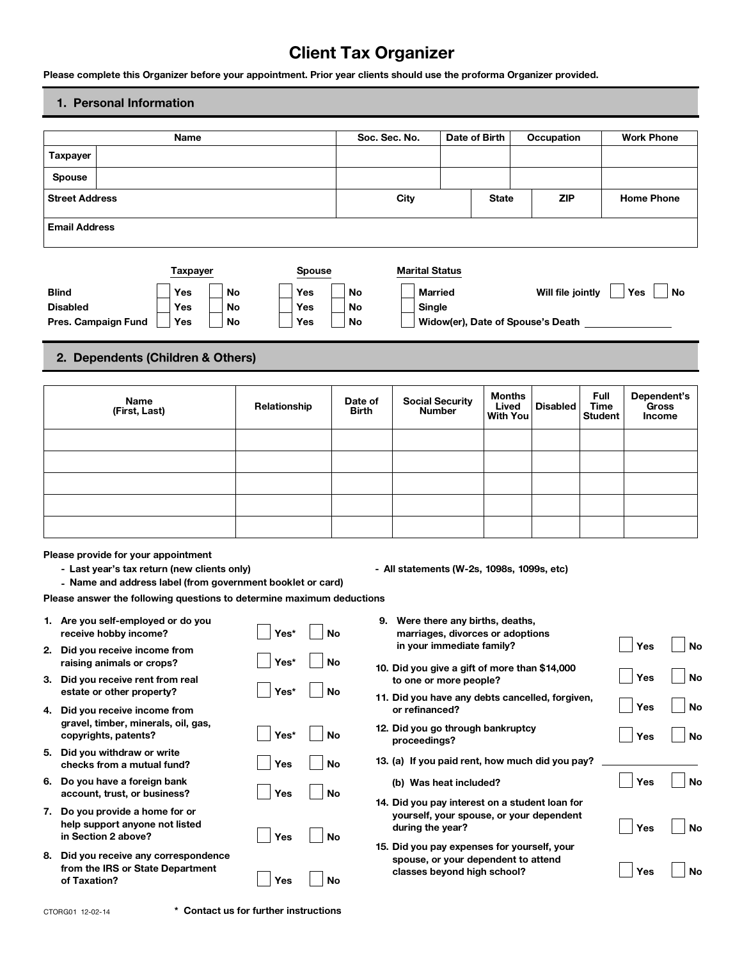# **Client Tax Organizer**

# **1. Personal Information**

| Please complete this Organizer before your appointment. Prior year clients should use the proforma Organizer provided.                           |                              |                 |    |              |                      |                         |    | <b>Client Tax Organizer</b>                                             |               |                                    |                                       |     |                                |                   |                                              |
|--------------------------------------------------------------------------------------------------------------------------------------------------|------------------------------|-----------------|----|--------------|----------------------|-------------------------|----|-------------------------------------------------------------------------|---------------|------------------------------------|---------------------------------------|-----|--------------------------------|-------------------|----------------------------------------------|
| 1. Personal Information                                                                                                                          |                              |                 |    |              |                      |                         |    |                                                                         |               |                                    |                                       |     |                                |                   |                                              |
|                                                                                                                                                  |                              | <b>Name</b>     |    |              |                      |                         |    | Soc. Sec. No.                                                           | Date of Birth |                                    | Occupation                            |     |                                | <b>Work Phone</b> |                                              |
| <b>Taxpayer</b>                                                                                                                                  |                              |                 |    |              |                      |                         |    |                                                                         |               |                                    |                                       |     |                                |                   |                                              |
| <b>Spouse</b>                                                                                                                                    |                              |                 |    |              |                      |                         |    |                                                                         |               |                                    |                                       |     |                                |                   |                                              |
| <b>Street Address</b>                                                                                                                            |                              |                 |    |              |                      |                         |    | City                                                                    |               | <b>State</b>                       |                                       | ZIP |                                | <b>Home Phone</b> |                                              |
| <b>Email Address</b>                                                                                                                             |                              |                 |    |              |                      |                         |    |                                                                         |               |                                    |                                       |     |                                |                   |                                              |
|                                                                                                                                                  |                              |                 |    |              |                      |                         |    |                                                                         |               |                                    |                                       |     |                                |                   |                                              |
| <b>Blind</b>                                                                                                                                     |                              | <b>Taxpayer</b> | No |              | <b>Spouse</b><br>Yes | <b>No</b>               |    | <b>Marital Status</b><br><b>Married</b>                                 |               |                                    | Will file jointly                     |     |                                | Yes               | No                                           |
| <b>Disabled</b>                                                                                                                                  |                              | Yes<br>Yes      | No |              | Yes                  | No                      |    | Single                                                                  |               |                                    |                                       |     |                                |                   |                                              |
| Pres. Campaign Fund                                                                                                                              |                              | Yes             | No |              | Yes                  | No                      |    |                                                                         |               |                                    | Widow(er), Date of Spouse's Death ___ |     |                                |                   |                                              |
| 2. Dependents (Children & Others)                                                                                                                |                              |                 |    |              |                      |                         |    |                                                                         |               |                                    |                                       |     |                                |                   |                                              |
|                                                                                                                                                  |                              |                 |    |              |                      |                         |    |                                                                         |               |                                    |                                       |     |                                |                   |                                              |
|                                                                                                                                                  | <b>Name</b><br>(First, Last) |                 |    | Relationship |                      | Date of<br><b>Birth</b> |    | <b>Social Security</b><br><b>Number</b>                                 |               | <b>Months</b><br>Lived<br>With You | <b>Disabled</b>                       |     | Full<br>Time<br><b>Student</b> |                   | Dependent's<br><b>Gross</b><br><b>Income</b> |
|                                                                                                                                                  |                              |                 |    |              |                      |                         |    |                                                                         |               |                                    |                                       |     |                                |                   |                                              |
|                                                                                                                                                  |                              |                 |    |              |                      |                         |    |                                                                         |               |                                    |                                       |     |                                |                   |                                              |
|                                                                                                                                                  |                              |                 |    |              |                      |                         |    |                                                                         |               |                                    |                                       |     |                                |                   |                                              |
|                                                                                                                                                  |                              |                 |    |              |                      |                         |    |                                                                         |               |                                    |                                       |     |                                |                   |                                              |
|                                                                                                                                                  |                              |                 |    |              |                      |                         |    |                                                                         |               |                                    |                                       |     |                                |                   |                                              |
| Please provide for your appointment<br>- Last year's tax return (new clients only)<br>- Name and address label (from government booklet or card) |                              |                 |    |              |                      |                         |    | - All statements (W-2s, 1098s, 1099s, etc)                              |               |                                    |                                       |     |                                |                   |                                              |
| Please answer the following questions to determine maximum deductions                                                                            |                              |                 |    |              |                      |                         |    |                                                                         |               |                                    |                                       |     |                                |                   |                                              |
| 1. Are you self-employed or do you<br>receive hobby income?                                                                                      |                              |                 |    | Yes*         |                      | No                      | 9. | Were there any births, deaths,<br>marriages, divorces or adoptions      |               |                                    |                                       |     |                                |                   |                                              |
| 2. Did you receive income from<br>raising animals or crops?                                                                                      |                              |                 |    | Yes*         |                      | No                      |    | in your immediate family?                                               |               |                                    |                                       |     |                                | Yes               | No                                           |
| 3. Did you receive rent from real                                                                                                                |                              |                 |    |              |                      |                         |    | 10. Did you give a gift of more than \$14,000<br>to one or more people? |               |                                    |                                       |     |                                | Yes               | No                                           |
| estate or other property?<br>4. Did you receive income from                                                                                      |                              |                 |    | Yes*         |                      | No                      |    | 11. Did you have any debts cancelled, forgiven,<br>or refinanced?       |               |                                    |                                       |     |                                | Yes               | No                                           |
| gravel, timber, minerals, oil, gas,<br>copyrights, patents?                                                                                      |                              |                 |    | Yes*         |                      | No                      |    | 12. Did you go through bankruptcy<br>proceedings?                       |               |                                    |                                       |     |                                | Yes               | <b>No</b>                                    |
| 5. Did you withdraw or write                                                                                                                     |                              |                 |    | Yes          |                      | <b>No</b>               |    | 13. (a) If you paid rent, how much did you pay?                         |               |                                    |                                       |     |                                |                   |                                              |
| checks from a mutual fund?<br>6. Do you have a foreign bank                                                                                      |                              |                 |    |              |                      |                         |    | (b) Was heat included?                                                  |               |                                    |                                       |     |                                | Yes               | <b>No</b>                                    |
| account, trust, or business?                                                                                                                     |                              |                 |    | Yes          |                      | No                      |    | 14. Did you pay interest on a student loan for                          |               |                                    |                                       |     |                                |                   |                                              |
| 7. Do you provide a home for or<br>help support anyone not listed                                                                                |                              |                 |    |              |                      |                         |    | yourself, your spouse, or your dependent<br>during the year?            |               |                                    |                                       |     |                                | Yes               | No                                           |
| in Section 2 above?<br>8. Did you receive any correspondence                                                                                     |                              |                 |    | Yes          |                      | <b>No</b>               |    | 15. Did you pay expenses for yourself, your                             |               |                                    |                                       |     |                                |                   |                                              |
| from the IRS or State Department<br>of Taxation?                                                                                                 |                              |                 |    | Yes          |                      | No                      |    | spouse, or your dependent to attend<br>classes beyond high school?      |               |                                    |                                       |     |                                | Yes               | <b>No</b>                                    |
|                                                                                                                                                  |                              |                 |    |              |                      |                         |    |                                                                         |               |                                    |                                       |     |                                |                   |                                              |

CTORG01 12-02-14 **\* Contact us for further instructions**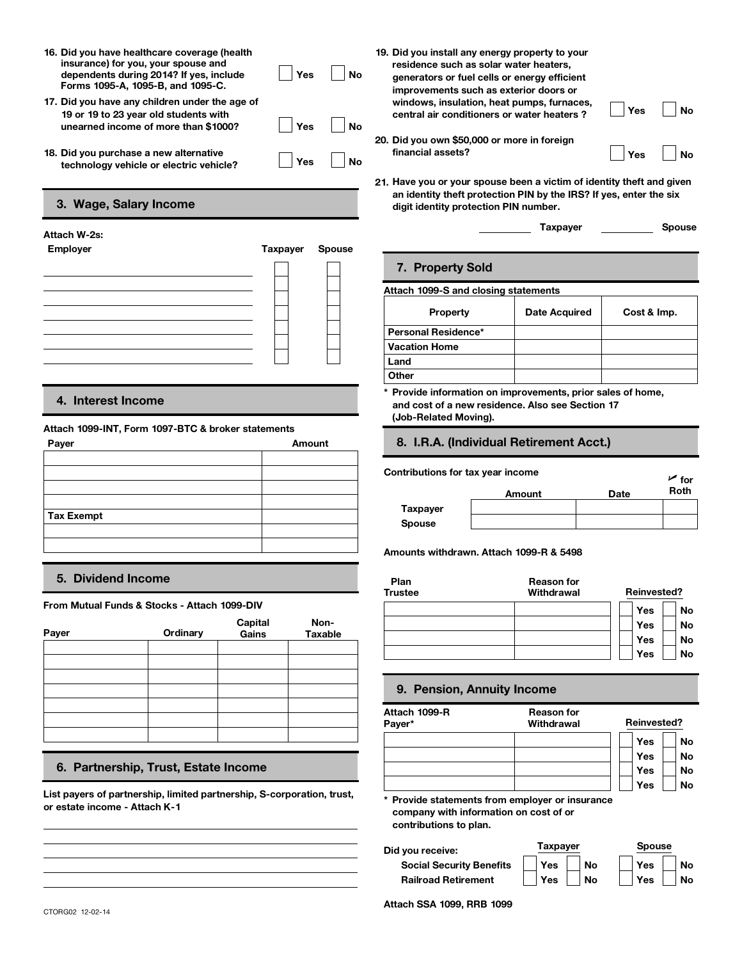- **16. Did you have healthcare coverage (health insurance) for you, your spouse and dependents during 2014? If yes, include Forms 1095-A, 1095-B, and 1095-C. 16. Did you have healthcare coverage (health<br>insurance) for you, your spouse and<br>dependents during 2014? If yes, include<br>Forms 1095-A, 1095-B, and 1095-C.<br>17. Did you have any children under the age of**
- **19 or 19 to 23 year old students with<br>unearned income of more than \$1000? unearned income of more than \$1000?**
- **technology vehicle or electric vehicle? EMPLOM** Exchanged B. Did you purchase a new alternative<br>
technology vehicle or electric vehicle?<br> **EMPLOMERENT:**<br> **EMPLOYER Employer**<br> **EMPLOYER Employer**<br> **EMPLOYER EMPLOYER EMPLOYER Spouse**<br> **EMPLOYER Spouse**<br> **EMPLOYER**

# **3. Wage, Salary Income**

# **Attach W-2s:**

| Employer | Taxpayer | Spouse |
|----------|----------|--------|
|          |          |        |
|          |          |        |
|          |          |        |
|          |          |        |
|          |          |        |
|          |          |        |
|          |          |        |
|          |          |        |

# **4. Interest Income**

#### **Attach 1099-INT, Form 1097-BTC & broker statements**

| Amount |  |  |  |  |
|--------|--|--|--|--|
|        |  |  |  |  |
|        |  |  |  |  |
|        |  |  |  |  |
|        |  |  |  |  |
|        |  |  |  |  |
|        |  |  |  |  |
|        |  |  |  |  |
|        |  |  |  |  |

# **5. Dividend Income**

**From Mutual Funds & Stocks - Attach 1099-DIV**

| Payer | Ordinary | <b>Capital</b><br>Gains | Non-<br>Taxable |  |
|-------|----------|-------------------------|-----------------|--|
|       |          |                         |                 |  |
|       |          |                         |                 |  |
|       |          |                         |                 |  |
|       |          |                         |                 |  |
|       |          |                         |                 |  |

# **6. Partnership, Trust, Estate Income**

**List payers of partnership, limited partnership, S-corporation, trust, or estate income - Attach K-1**

| 16. Did you have healthcare coverage (health<br>insurance) for you, your spouse and<br>dependents during 2014? If yes, include<br>Forms 1095-A, 1095-B, and 1095-C. | Yes | No | 19. Did you install any energy property to your<br>residence such as solar water heaters.<br>generators or fuel cells or energy efficient<br>improvements such as exterior doors or |     |    |
|---------------------------------------------------------------------------------------------------------------------------------------------------------------------|-----|----|-------------------------------------------------------------------------------------------------------------------------------------------------------------------------------------|-----|----|
| 17. Did you have any children under the age of<br>19 or 19 to 23 year old students with<br>unearned income of more than \$1000?                                     | Yes | No | windows, insulation, heat pumps, furnaces,<br>central air conditioners or water heaters?                                                                                            | Yes | No |
| 18. Did you purchase a new alternative<br>technology vehicle or electric vehicle?                                                                                   | Yes | No | 20. Did you own \$50,000 or more in foreign<br>financial assets?                                                                                                                    | Yes | No |

- 
- **21. Have you or your spouse been a victim of identity theft and given an identity theft protection PIN by the IRS? If yes, enter the six digit identity protection PIN number.**

# **7. Property Sold**

#### **Attach 1099-S and closing statements**

|                                      | Taxpayer      | <b>Spouse</b> |
|--------------------------------------|---------------|---------------|
| 7. Property Sold                     |               |               |
| Attach 1099-S and closing statements |               |               |
| <b>Property</b>                      | Date Acquired | Cost & Imp.   |
| Personal Residence*                  |               |               |
| <b>Vacation Home</b>                 |               |               |
| Land                                 |               |               |
|                                      |               |               |

**and cost of a new residence. Also see Section 17 (Job-Related Moving).**

# **8. I.R.A. (Individual Retirement Acct.)**

#### **Contributions for tax year income**

| ntributions for tax year income |        |      | $\overline{\phantom{a}}$ for |
|---------------------------------|--------|------|------------------------------|
|                                 | Amount | Date | Roth                         |
| Taxpayer                        |        |      |                              |
| <b>Spouse</b>                   |        |      |                              |

**Amounts withdrawn. Attach 1099-R & 5498**

| Plan<br><b>Trustee</b> | <b>Reason for</b><br>Withdrawal | <b>Reinvested?</b> |
|------------------------|---------------------------------|--------------------|
|                        |                                 | No<br>Yes          |
|                        |                                 | No<br><b>Yes</b>   |
|                        |                                 | Yes<br>No          |
|                        |                                 | Yes<br>No          |

#### **9. Pension, Annuity Income**

| Attach 1099-R<br>Payer* | <b>Reason for</b><br>Withdrawal | <b>Reinvested?</b> |
|-------------------------|---------------------------------|--------------------|
|                         |                                 |                    |
|                         |                                 | Yes<br>No          |
|                         |                                 | <b>No</b><br>Yes   |
|                         |                                 | <b>No</b><br>Yes   |
|                         |                                 | <b>No</b><br>Yes   |

**company with information on cost of or contributions to plan.**

| Did you receive:                | Taxpaver |           | <b>Spouse</b> |           |  |
|---------------------------------|----------|-----------|---------------|-----------|--|
| <b>Social Security Benefits</b> | Yes      | <b>No</b> | Yes           | <b>No</b> |  |
| <b>Railroad Retirement</b>      | Yes      | No        | <b>Yes</b>    | <b>No</b> |  |

**Attach SSA 1099, RRB 1099**<br> **Attach SSA 1099, RRB 1099**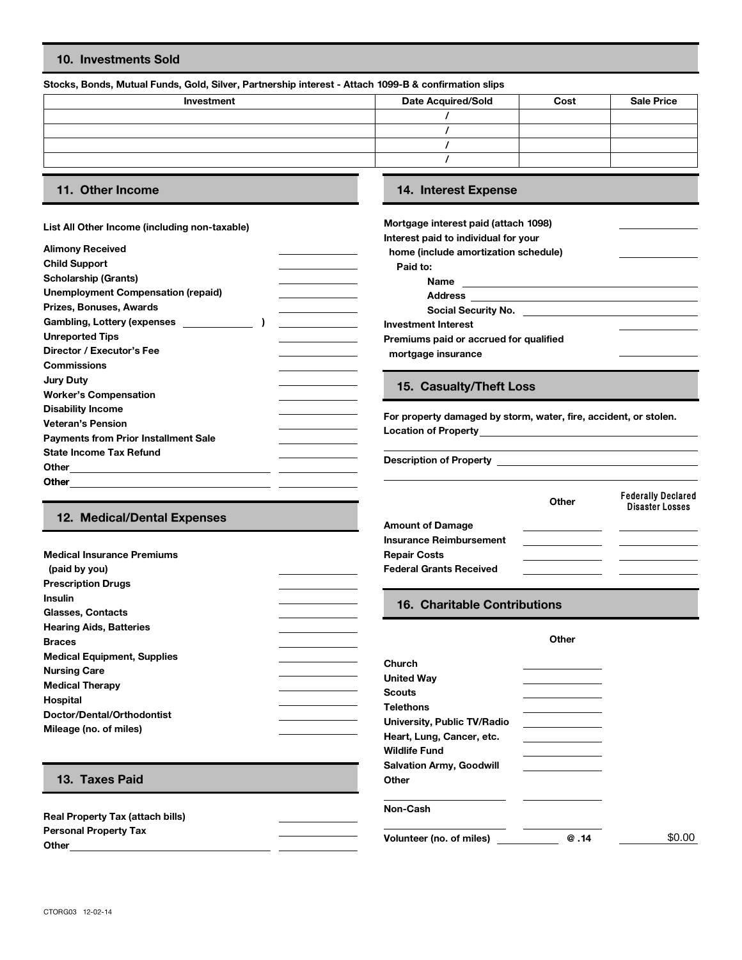# **10. Investments Sold**

#### **Stocks, Bonds, Mutual Funds, Gold, Silver, Partnership interest - Attach 1099-B & confirmation slips**

| Investment | <b>Date Acquired/Sold</b> | Cost | <b>Sale Price</b> |
|------------|---------------------------|------|-------------------|
|            |                           |      |                   |
|            |                           |      |                   |
|            |                           |      |                   |
|            |                           |      |                   |
|            |                           |      |                   |

**Medical Insurance Premiums**

 **(paid by you) Prescription Drugs**

#### **List All Other Income (including non-taxable)**

| <b>Alimony Received</b>                     |                                              | home (include amortization     |
|---------------------------------------------|----------------------------------------------|--------------------------------|
| <b>Child Support</b>                        |                                              | Paid to:                       |
| <b>Scholarship (Grants)</b>                 |                                              | Name                           |
| <b>Unemployment Compensation (repaid)</b>   | the control of the control of the control of | <b>Address</b>                 |
| Prizes, Bonuses, Awards                     | the control of the control of the control of | <b>Social Security No</b>      |
| Gambling, Lottery (expenses                 |                                              | <b>Investment Interest</b>     |
| <b>Unreported Tips</b>                      |                                              | Premiums paid or accrued f     |
| Director / Executor's Fee                   |                                              | mortgage insurance             |
| <b>Commissions</b>                          |                                              |                                |
| <b>Jury Duty</b>                            |                                              |                                |
| <b>Worker's Compensation</b>                |                                              | 15. Casualty/Theft L           |
| <b>Disability Income</b>                    |                                              |                                |
| <b>Veteran's Pension</b>                    |                                              | For property damaged by st     |
| <b>Payments from Prior Installment Sale</b> |                                              | <b>Location of Property</b>    |
| <b>State Income Tax Refund</b>              |                                              |                                |
| Other                                       |                                              | <b>Description of Property</b> |
| <b>Other</b>                                |                                              |                                |
|                                             |                                              |                                |

# **11. Other Income 14. Interest Expense**

| Mortgage interest paid (attach 1098)   |  |
|----------------------------------------|--|
| Interest paid to individual for your   |  |
| home (include amortization schedule)   |  |
| Paid to:                               |  |
| Name                                   |  |
| <b>Address</b>                         |  |
| Social Security No.                    |  |
| <b>Investment Interest</b>             |  |
| Premiums paid or accrued for qualified |  |
| mortgage insurance                     |  |
|                                        |  |

### **15. Casualty/Theft Loss**

For property damaged by storm, water, fire, accident, or stolen. **Location of Property**

|                             |                                | Other | <b>Federally Declared</b><br><b>Disaster Losses</b> |
|-----------------------------|--------------------------------|-------|-----------------------------------------------------|
| 12. Medical/Dental Expenses | <b>Amount of Damage</b>        |       |                                                     |
|                             | <b>Insurance Reimbursement</b> |       |                                                     |
| edical Insurance Premiums   | <b>Repair Costs</b>            |       |                                                     |
| aid by you)                 | <b>Federal Grants Received</b> |       |                                                     |

| <b>Insulin</b>                                                                                                                                                                                                                  | <b>16. Charitable Contributions</b>                                                                                                                                                              |
|---------------------------------------------------------------------------------------------------------------------------------------------------------------------------------------------------------------------------------|--------------------------------------------------------------------------------------------------------------------------------------------------------------------------------------------------|
| Glasses, Contacts<br><b>Hearing Aids, Batteries</b><br><b>Braces</b><br><b>Medical Equipment, Supplies</b><br><b>Nursing Care</b><br><b>Medical Therapy</b><br>Hospital<br>Doctor/Dental/Orthodontist<br>Mileage (no. of miles) | Other<br>Church<br><b>United Way</b><br><b>Scouts</b><br><b>Telethons</b><br>University, Public TV/Radio<br>Heart, Lung, Cancer, etc.<br><b>Wildlife Fund</b><br><b>Salvation Army, Goodwill</b> |
| 13. Taxes Paid                                                                                                                                                                                                                  | Other                                                                                                                                                                                            |
| <b>Real Property Tax (attach bills)</b>                                                                                                                                                                                         | Non-Cash                                                                                                                                                                                         |

**Personal Property Tax Volunteer (no. of miles) @ .14 Other**

\$0.00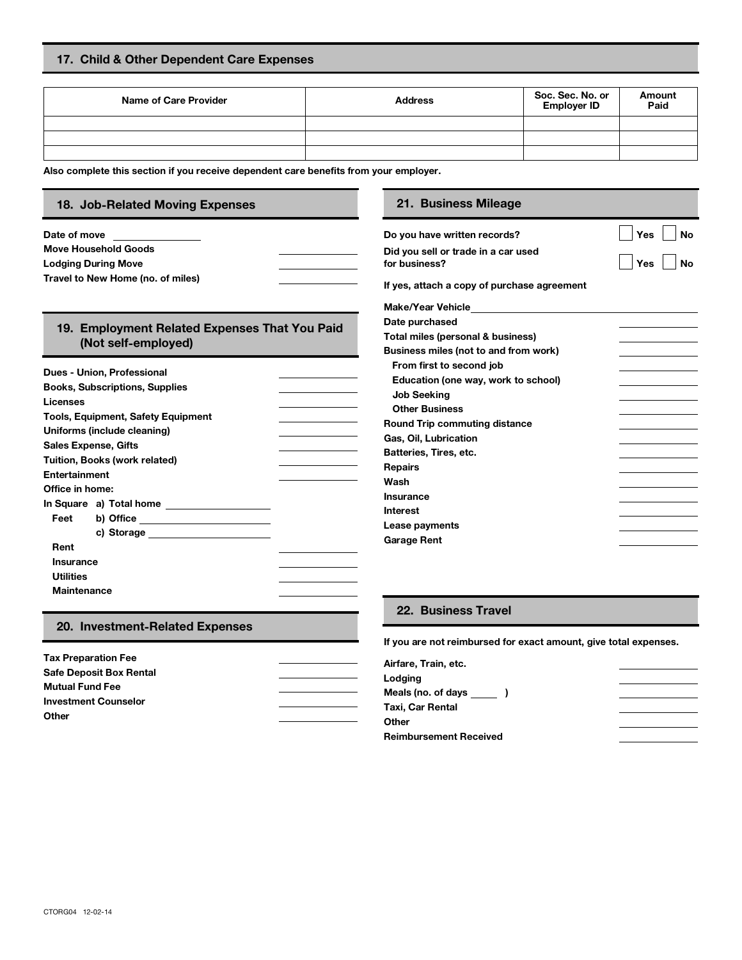# **17. Child & Other Dependent Care Expenses**

| <b>Name of Care Provider</b> | <b>Address</b> | Soc. Sec. No. or<br><b>Employer ID</b> | Amount<br>Paid |
|------------------------------|----------------|----------------------------------------|----------------|
|                              |                |                                        |                |
|                              |                |                                        |                |
|                              |                |                                        |                |

**Also complete this section if you receive dependent care benefits from your employer.**

| 18. Job-Related Moving Expenses                                                                                                                                                                                                | 21. Business Mileage                                             |                  |
|--------------------------------------------------------------------------------------------------------------------------------------------------------------------------------------------------------------------------------|------------------------------------------------------------------|------------------|
| Date of move<br><u> 1999 - Alban Salaman San</u>                                                                                                                                                                               | Do you have written records?                                     | <b>No</b><br>Yes |
| <b>Move Household Goods</b><br><b>Lodging During Move</b>                                                                                                                                                                      | Did you sell or trade in a car used<br>for business?             | Yes<br>No        |
| Travel to New Home (no. of miles)                                                                                                                                                                                              | If yes, attach a copy of purchase agreement                      |                  |
|                                                                                                                                                                                                                                | Make/Year Vehicle <b>Make/Year</b>                               |                  |
| 19. Employment Related Expenses That You Paid                                                                                                                                                                                  | Date purchased                                                   |                  |
| (Not self-employed)                                                                                                                                                                                                            | Total miles (personal & business)                                |                  |
|                                                                                                                                                                                                                                | Business miles (not to and from work)                            |                  |
| Dues - Union, Professional                                                                                                                                                                                                     | From first to second job                                         |                  |
| <b>Books, Subscriptions, Supplies</b>                                                                                                                                                                                          | Education (one way, work to school)                              |                  |
| Licenses                                                                                                                                                                                                                       | <b>Job Seeking</b>                                               |                  |
|                                                                                                                                                                                                                                | <b>Other Business</b>                                            |                  |
| <b>Tools, Equipment, Safety Equipment</b>                                                                                                                                                                                      | <b>Round Trip commuting distance</b>                             |                  |
| Uniforms (include cleaning)                                                                                                                                                                                                    | Gas, Oil, Lubrication                                            |                  |
| <b>Sales Expense, Gifts</b>                                                                                                                                                                                                    | Batteries, Tires, etc.                                           |                  |
| Tuition, Books (work related)                                                                                                                                                                                                  | <b>Repairs</b>                                                   |                  |
| <b>Entertainment</b>                                                                                                                                                                                                           | Wash                                                             |                  |
| Office in home:                                                                                                                                                                                                                | Insurance                                                        |                  |
| In Square a) Total home ____________________                                                                                                                                                                                   | <b>Interest</b>                                                  |                  |
| b) Office _______________________<br>Feet                                                                                                                                                                                      | Lease payments                                                   |                  |
| c) Storage and the state of the state of the state of the state of the state of the state of the state of the state of the state of the state of the state of the state of the state of the state of the state of the state of | <b>Garage Rent</b>                                               |                  |
| Rent                                                                                                                                                                                                                           |                                                                  |                  |
| <b>Insurance</b>                                                                                                                                                                                                               |                                                                  |                  |
| <b>Utilities</b>                                                                                                                                                                                                               |                                                                  |                  |
| <b>Maintenance</b>                                                                                                                                                                                                             |                                                                  |                  |
|                                                                                                                                                                                                                                | 22. Business Travel                                              |                  |
| 20. Investment-Related Expenses                                                                                                                                                                                                | If you are not reimbursed for exact amount, give total expenses. |                  |
| <b>Tax Preparation Fee</b>                                                                                                                                                                                                     |                                                                  |                  |
| <b>Safe Deposit Box Rental</b>                                                                                                                                                                                                 | Airfare, Train, etc.                                             |                  |
|                                                                                                                                                                                                                                | Lodging                                                          |                  |

| <b>Safe Deposit Box Rental</b> |  |
|--------------------------------|--|
| <b>Mutual Fund Fee</b>         |  |
| <b>Investment Counselor</b>    |  |
| Other                          |  |
|                                |  |

| Airfare, Train, etc.          |  |
|-------------------------------|--|
| Lodging                       |  |
| Meals (no. of days )          |  |
| Taxi, Car Rental              |  |
| Other                         |  |
| <b>Reimbursement Received</b> |  |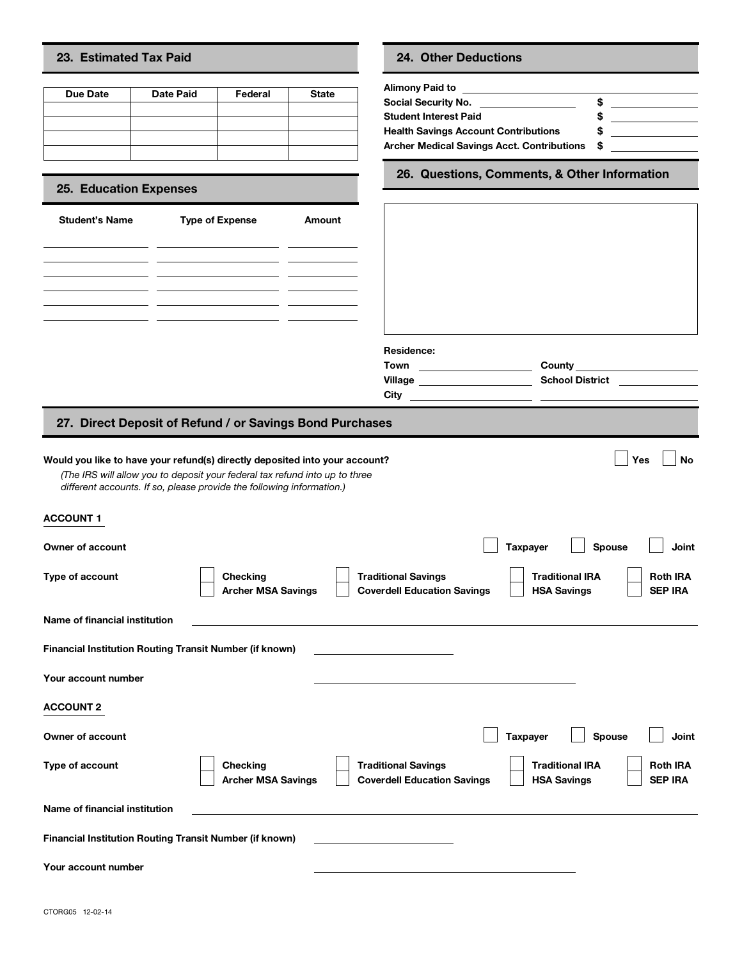### **23. Estimated Tax Paid 24. Other Deductions**

| 23. Estimated Tax Paid                                 |                  |                        |              | 24. Other Deductions                                                                                                                                  |
|--------------------------------------------------------|------------------|------------------------|--------------|-------------------------------------------------------------------------------------------------------------------------------------------------------|
| Due Date                                               | <b>Date Paid</b> | Federal                | <b>State</b> | Alimony Paid to<br>Social Security No.<br><b>Student Interest Paid</b><br><b>Health Savings Account Contri</b><br><b>Archer Medical Savings Acct.</b> |
| <b>25. Education Expenses</b><br><b>Student's Name</b> |                  | <b>Type of Expense</b> | Amount       | 26. Questions, Comm                                                                                                                                   |

# **25. Education Expenses**

| <b>Student's Name</b> | <b>Type of Expense</b> | Amount |
|-----------------------|------------------------|--------|
|                       |                        |        |
|                       |                        |        |
|                       |                        |        |
|                       |                        |        |
|                       |                        |        |

| Social Security No.                         | Ŧ |  |
|---------------------------------------------|---|--|
| Student Interest Paid                       |   |  |
| <b>Health Savings Account Contributions</b> |   |  |
| Archer Medical Savings Acct. Contributions  | S |  |

**26. Questions, Comments, & Other Information**

| <b>Student's Name</b>   | <b>Type of Expense</b><br><u> La Carlo de la Carlo de la Carlo de la Carlo de la Carlo de la Carlo de la Carlo de la Carlo de la Carlo de l</u>                                                                                     | Amount |                                                               |                 |                                                                                      |
|-------------------------|-------------------------------------------------------------------------------------------------------------------------------------------------------------------------------------------------------------------------------------|--------|---------------------------------------------------------------|-----------------|--------------------------------------------------------------------------------------|
|                         |                                                                                                                                                                                                                                     |        |                                                               |                 |                                                                                      |
|                         |                                                                                                                                                                                                                                     |        |                                                               |                 |                                                                                      |
|                         |                                                                                                                                                                                                                                     |        | Residence:                                                    |                 |                                                                                      |
|                         |                                                                                                                                                                                                                                     |        | Town _________________________<br><b>Village Example 2014</b> |                 | County _________________________<br><b>School District Communist School District</b> |
|                         | 27. Direct Deposit of Refund / or Savings Bond Purchases                                                                                                                                                                            |        |                                                               |                 |                                                                                      |
|                         | Would you like to have your refund(s) directly deposited into your account?<br>(The IRS will allow you to deposit your federal tax refund into up to three<br>different accounts. If so, please provide the following information.) |        |                                                               |                 | Yes<br><b>No</b>                                                                     |
| <b>ACCOUNT 1</b>        |                                                                                                                                                                                                                                     |        |                                                               |                 |                                                                                      |
| <b>Owner of account</b> |                                                                                                                                                                                                                                     |        |                                                               | <b>Taxpayer</b> | Spouse<br>Joint                                                                      |

# **27. Direct Deposit of Refund / or Savings Bond Purchases**

|                                                                | The mo will allow you to deposit your redefar tax related lifts up to three<br>different accounts. If so, please provide the following information.) |                                                                  |                                              |                                   |
|----------------------------------------------------------------|------------------------------------------------------------------------------------------------------------------------------------------------------|------------------------------------------------------------------|----------------------------------------------|-----------------------------------|
| <b>ACCOUNT 1</b>                                               |                                                                                                                                                      |                                                                  |                                              |                                   |
| Owner of account                                               |                                                                                                                                                      |                                                                  | <b>Taxpayer</b><br>Spouse                    | Joint                             |
| Type of account                                                | Checking<br><b>Archer MSA Savings</b>                                                                                                                | <b>Traditional Savings</b><br><b>Coverdell Education Savings</b> | <b>Traditional IRA</b><br><b>HSA Savings</b> | <b>Roth IRA</b><br><b>SEP IRA</b> |
| Name of financial institution                                  |                                                                                                                                                      |                                                                  |                                              |                                   |
| <b>Financial Institution Routing Transit Number (if known)</b> |                                                                                                                                                      |                                                                  |                                              |                                   |
| Your account number                                            |                                                                                                                                                      |                                                                  |                                              |                                   |
| <b>ACCOUNT 2</b>                                               |                                                                                                                                                      |                                                                  |                                              |                                   |
| Owner of account                                               |                                                                                                                                                      |                                                                  | <b>Taxpayer</b><br>Spouse                    | Joint                             |
| <b>Type of account</b>                                         | Checking<br><b>Archer MSA Savings</b>                                                                                                                | <b>Traditional Savings</b><br><b>Coverdell Education Savings</b> | <b>Traditional IRA</b><br><b>HSA Savings</b> | <b>Roth IRA</b><br><b>SEP IRA</b> |
| Name of financial institution                                  |                                                                                                                                                      |                                                                  |                                              |                                   |
| <b>Financial Institution Routing Transit Number (if known)</b> |                                                                                                                                                      |                                                                  |                                              |                                   |
| Your account number                                            |                                                                                                                                                      |                                                                  |                                              |                                   |